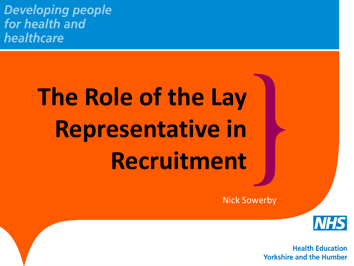**Developing people** for health and healthcare

# **The Role of the Lay Representative in Recruitment**

Nick Sowerby

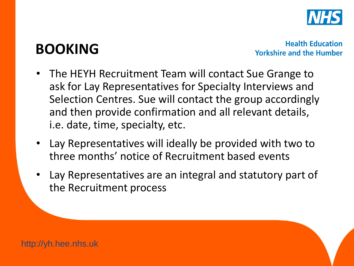

#### **BOOKING**

- The HEYH Recruitment Team will contact Sue Grange to ask for Lay Representatives for Specialty Interviews and Selection Centres. Sue will contact the group accordingly and then provide confirmation and all relevant details, i.e. date, time, specialty, etc.
- Lay Representatives will ideally be provided with two to three months' notice of Recruitment based events
- Lay Representatives are an integral and statutory part of the Recruitment process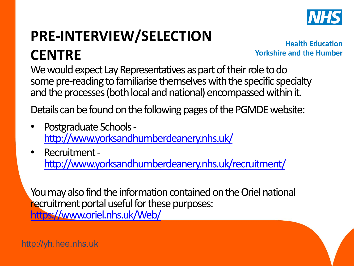

#### **PRE-INTERVIEW/SELECTION CENTRE**

**Health Education Yorkshire and the Humber** 

We would expect Lay Representatives as part of their role to do some pre-reading to familiarise themselves with the specific specialty and the processes (both local and national) encompassed within it.

Details can be found on the following pages of the PGMDE website:

- Postgraduate Schools <http://www.yorksandhumberdeanery.nhs.uk/>
- Recruitment <http://www.yorksandhumberdeanery.nhs.uk/recruitment/>

You may also find the information contained on the Oriel national recruitment portal useful for these purposes: <https://www.oriel.nhs.uk/Web/>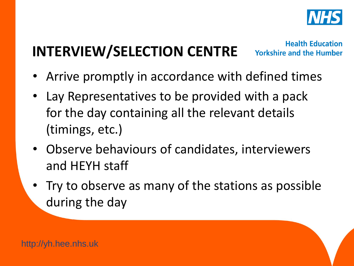

# **INTERVIEW/SELECTION CENTRE**

- Arrive promptly in accordance with defined times
- Lay Representatives to be provided with a pack for the day containing all the relevant details (timings, etc.)
- Observe behaviours of candidates, interviewers and HEYH staff
- Try to observe as many of the stations as possible during the day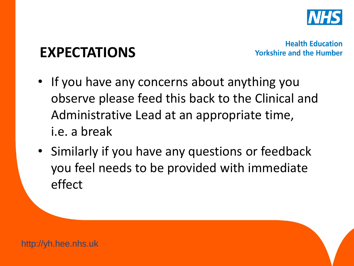

#### **EXPECTATIONS**

- If you have any concerns about anything you observe please feed this back to the Clinical and Administrative Lead at an appropriate time, i.e. a break
- Similarly if you have any questions or feedback you feel needs to be provided with immediate effect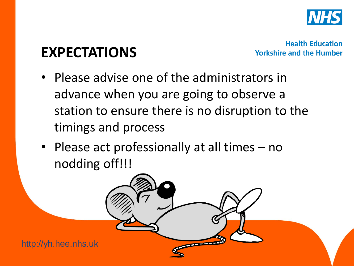

#### **EXPECTATIONS**

**Health Education Yorkshire and the Humber** 

• Please advise one of the administrators in advance when you are going to observe a station to ensure there is no disruption to the timings and process

 $\overline{\phantom{a}}$ 

• Please act professionally at all times – no nodding off!!!

http://yh.hee.nhs.uk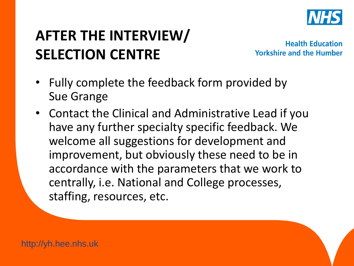

## **AFTER THE INTERVIEW/ SELECTION CENTRE**

- Fully complete the feedback form provided by Sue Grange
- Contact the Clinical and Administrative Lead if you have any further specialty specific feedback. We welcome all suggestions for development and improvement, but obviously these need to be in accordance with the parameters that we work to centrally, i.e. National and College processes, staffing, resources, etc.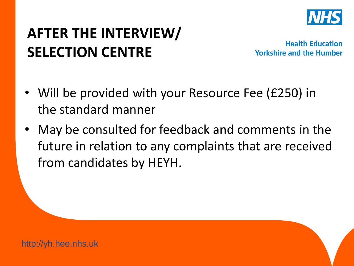

## **AFTER THE INTERVIEW/ SELECTION CENTRE**

- Will be provided with your Resource Fee (£250) in the standard manner
- May be consulted for feedback and comments in the future in relation to any complaints that are received from candidates by HEYH.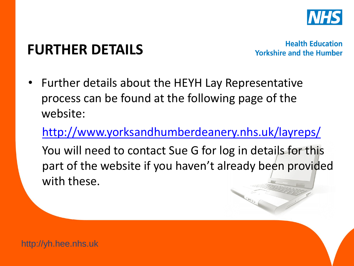

#### **FURTHER DETAILS**

**Health Education Yorkshire and the Humber** 

• Further details about the HEYH Lay Representative process can be found at the following page of the website:

<http://www.yorksandhumberdeanery.nhs.uk/layreps/>

You will need to contact Sue G for log in details for this part of the website if you haven't already been provided with these.